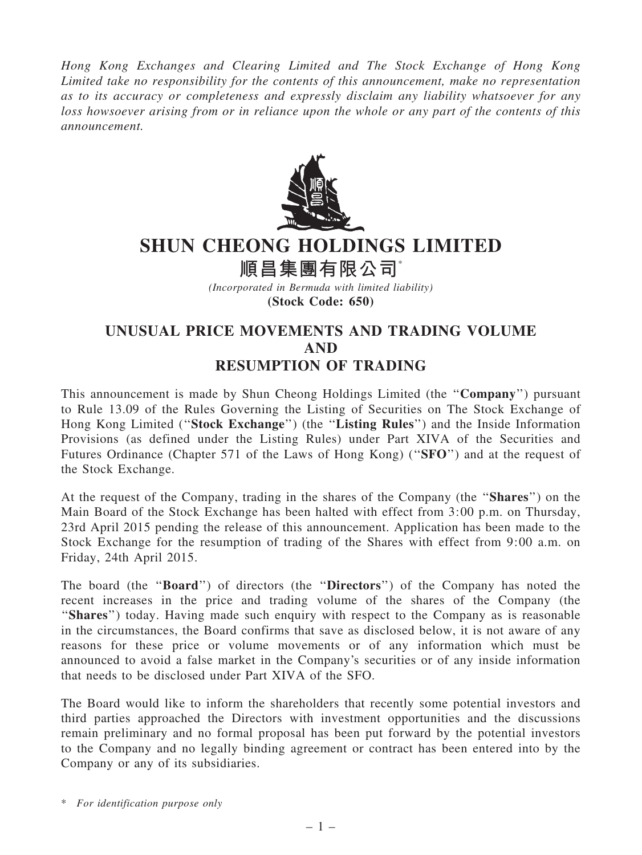Hong Kong Exchanges and Clearing Limited and The Stock Exchange of Hong Kong Limited take no responsibility for the contents of this announcement, make no representation as to its accuracy or completeness and expressly disclaim any liability whatsoever for any loss howsoever arising from or in reliance upon the whole or any part of the contents of this announcement.



## SHUN CHEONG HOLDINGS LIMITED

順昌集團有限公司\*

(Incorporated in Bermuda with limited liability) (Stock Code: 650)

## UNUSUAL PRICE MOVEMENTS AND TRADING VOLUME AND RESUMPTION OF TRADING

This announcement is made by Shun Cheong Holdings Limited (the ''Company'') pursuant to Rule 13.09 of the Rules Governing the Listing of Securities on The Stock Exchange of Hong Kong Limited (''Stock Exchange'') (the ''Listing Rules'') and the Inside Information Provisions (as defined under the Listing Rules) under Part XIVA of the Securities and Futures Ordinance (Chapter 571 of the Laws of Hong Kong) ("SFO") and at the request of the Stock Exchange.

At the request of the Company, trading in the shares of the Company (the ''Shares'') on the Main Board of the Stock Exchange has been halted with effect from 3:00 p.m. on Thursday, 23rd April 2015 pending the release of this announcement. Application has been made to the Stock Exchange for the resumption of trading of the Shares with effect from 9:00 a.m. on Friday, 24th April 2015.

The board (the "**Board**") of directors (the "**Directors**") of the Company has noted the recent increases in the price and trading volume of the shares of the Company (the "Shares") today. Having made such enquiry with respect to the Company as is reasonable in the circumstances, the Board confirms that save as disclosed below, it is not aware of any reasons for these price or volume movements or of any information which must be announced to avoid a false market in the Company's securities or of any inside information that needs to be disclosed under Part XIVA of the SFO.

The Board would like to inform the shareholders that recently some potential investors and third parties approached the Directors with investment opportunities and the discussions remain preliminary and no formal proposal has been put forward by the potential investors to the Company and no legally binding agreement or contract has been entered into by the Company or any of its subsidiaries.

\* For identification purpose only